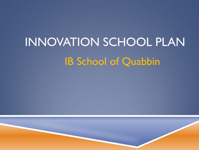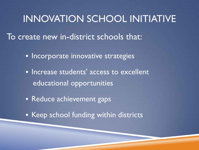## INNOVATION SCHOOL INITIATIVE

To create new in-district schools that:

**Incorporate innovative strategies** 

**Increase students' access to excellent** educational opportunities

**Reduce achievement gaps** 

**Keep school funding within districts**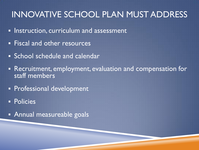#### INNOVATIVE SCHOOL PLAN MUST ADDRESS

- **Instruction, curriculum and assessment**
- **Fiscal and other resources**
- **School schedule and calendar**
- Recruitment, employment, evaluation and compensation for staff members
- **Professional development**
- **Policies**
- **Annual measureable goals**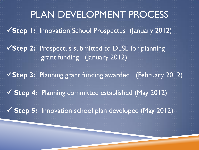# PLAN DEVELOPMENT PROCESS **Step 1:** Innovation School Prospectus (January 2012) **Step 2:** Prospectus submitted to DESE for planning grant funding (January 2012) **Step 3:** Planning grant funding awarded (February 2012) **Step 4:** Planning committee established (May 2012) **Step 5:** Innovation school plan developed (May 2012)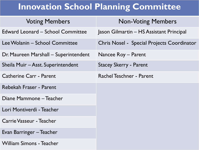#### **Innovation School Planning Committee**

| <b>Voting Members</b>                    | <b>Non-Voting Members</b>                  |
|------------------------------------------|--------------------------------------------|
| <b>Edward Leonard – School Committee</b> | Jason Gilmartin – HS Assistant Principal   |
| Lee Wolanin - School Committee           | Chris Nosel - Special Projects Coordinator |
| Dr. Maureen Marshall – Superintendent    | Nancee Roy – Parent                        |
| Sheila Muir - Asst. Superintendent       | <b>Stacey Skerry - Parent</b>              |
| <b>Catherine Carr - Parent</b>           | <b>Rachel Teschner - Parent</b>            |
| Rebekah Fraser - Parent                  |                                            |
| Diane Mammone - Teacher                  |                                            |
| Lori Montiverdi - Teacher                |                                            |
| Carrie Vasseur - Teacher                 |                                            |
| Evan Barringer – Teacher                 |                                            |
| William Simons - Teacher                 |                                            |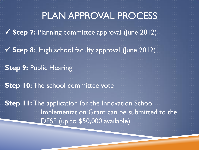## PLAN APPROVAL PROCESS

**Step 7:** Planning committee approval (June 2012)

**Step 8**: High school faculty approval (June 2012)

**Step 9:** Public Hearing

**Step 10: The school committee vote** 

**Step II:** The application for the Innovation School Implementation Grant can be submitted to the DESE (up to \$50,000 available).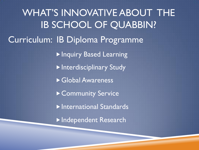WHAT'S INNOVATIVE ABOUT THE IB SCHOOL OF QUABBIN? Curriculum: IB Diploma Programme **Inquiry Based Learning Interdisciplinary Study** Global Awareness ▶ Community Service International Standards Independent Research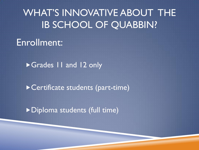## Enrollment:

Grades 11 and 12 only

Certificate students (part-time)

Diploma students (full time)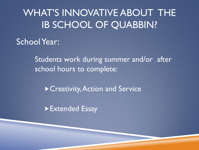## School Year:

Students work during summer and/or after school hours to complete:

▶ Creativity, Action and Service

▶ Extended Essay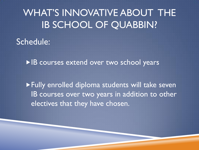#### Schedule:

▶ IB courses extend over two school years

Fully enrolled diploma students will take seven IB courses over two years in addition to other electives that they have chosen.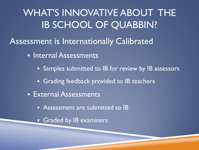WHAT'S INNOVATIVE ABOUT THE IB SCHOOL OF QUABBIN? Assessment is Internationally Calibrated **Internal Assessments Samples submitted to IB for review by IB assessors Grading feedback provided to IB teachers External Assessments Assessment are submitted to IB Graded by IB examiners**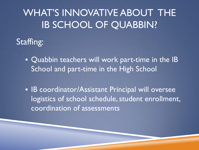

**Quabbin teachers will work part-time in the IB** School and part-time in the High School

**IB coordinator/Assistant Principal will oversee** logistics of school schedule, student enrollment, coordination of assessments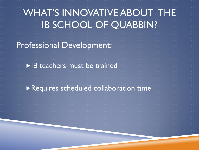Professional Development:

▶ **IB** teachers must be trained

Requires scheduled collaboration time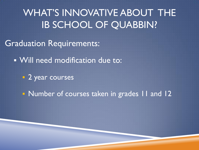Graduation Requirements:

Will need modification due to:

**2** year courses

**Number of courses taken in grades 11 and 12**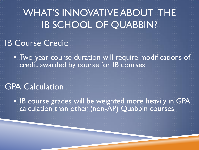#### IB Course Credit:

 Two-year course duration will require modifications of credit awarded by course for IB courses

#### GPA Calculation :

**IB course grades will be weighted more heavily in GPA** calculation than other (non-AP) Quabbin courses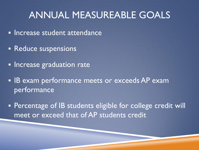## ANNUAL MEASUREABLE GOALS

**Increase student attendance** 

- **Reduce suspensions**
- **Increase graduation rate**
- **IB exam performance meets or exceeds AP exam** performance

 Percentage of IB students eligible for college credit will meet or exceed that of AP students credit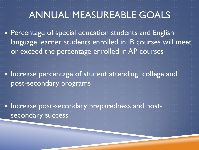## ANNUAL MEASUREABLE GOALS

**Percentage of special education students and English** language learner students enrolled in IB courses will meet or exceed the percentage enrolled in AP courses

**Increase percentage of student attending college and** post-secondary programs

**Increase post-secondary preparedness and post**secondary success